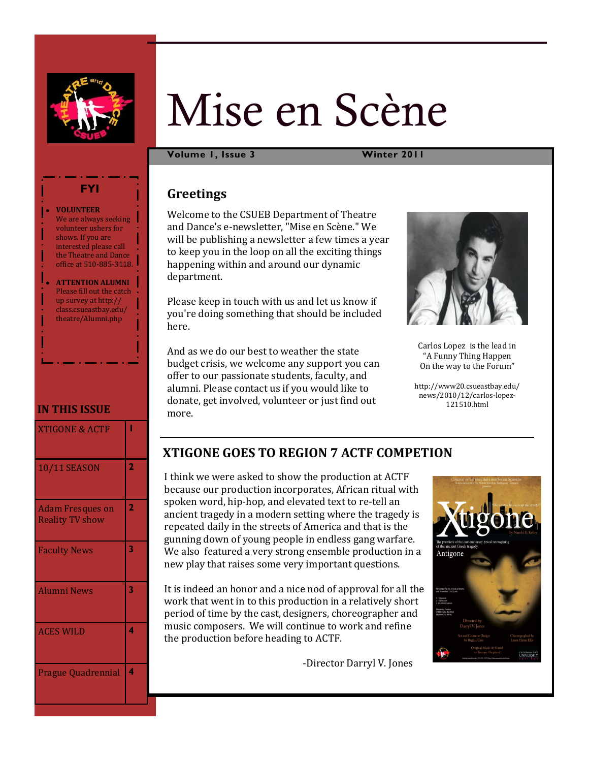

# Mise en Scène

**Volume 1, Issue 3 Winter 2011**

# **Greetings**

Welcome to the CSUEB Department of Theatre and Dance's e-newsletter, "Mise en Scène." We will be publishing a newsletter a few times a year to keep you in the loop on all the exciting things happening within and around our dynamic department.

Please keep in touch with us and let us know if you're doing something that should be included here.

And as we do our best to weather the state budget crisis, we welcome any support you can offer to our passionate students, faculty, and alumni. Please contact us if you would like to donate, get involved, volunteer or just find out more.



Carlos Lopez is the lead in "A Funny Thing Happen On the way to the Forum"

http://www20.csueastbay.edu/ news/2010/12/carlos-lopez-121510.html

# **XTIGONE GOES TO REGION 7 ACTF COMPETION**

I think we were asked to show the production at ACTF because our production incorporates, African ritual with spoken word, hip-hop, and elevated text to re-tell an ancient tragedy in a modern setting where the tragedy is repeated daily in the streets of America and that is the gunning down of young people in endless gang warfare. We also featured a very strong ensemble production in a new play that raises some very important questions.

It is indeed an honor and a nice nod of approval for all the work that went in to this production in a relatively short period of time by the cast, designers, choreographer and music composers. We will continue to work and refine the production before heading to ACTF.

-Director Darryl V. Jones



#### **VOLUNTEER**  We are always seeking volunteer ushers for shows. If you are interested please call the Theatre and Dance office at 510-885-3118.

**FYI**

**ATTENTION ALUMNI**  Please fill out the catch up survey at http:// class.csueastbay.edu/ theatre/Alumni.php

## **IN THIS ISSUE**

| <b>XTIGONE &amp; ACTF</b>                         |                |
|---------------------------------------------------|----------------|
| <b>10/11 SEASON</b>                               | $\overline{2}$ |
| <b>Adam Fresques on</b><br><b>Reality TV show</b> | 2              |
| <b>Faculty News</b>                               | 3              |
| <b>Alumni News</b>                                | 3              |
| <b>ACES WILD</b>                                  | 4              |
| <b>Prague Quadrennial</b>                         | 4              |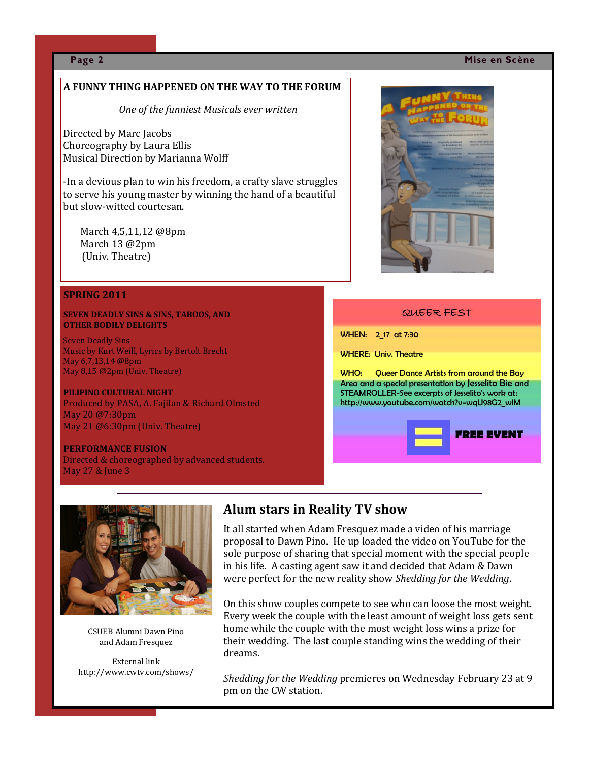#### **Page 2 Mise en Scène**

#### **A FUNNY THING HAPPENED ON THE WAY TO THE FORUM**

*One of the funniest Musicals ever written*

Directed by Marc Jacobs Choreography by Laura Ellis Musical Direction by Marianna Wolff

-In a devious plan to win his freedom, a crafty slave struggles to serve his young master by winning the hand of a beautiful but slow-witted courtesan.

March 4,5,11,12 @8pm March 13 @2pm (Univ. Theatre)

#### **SPRING 2011**

#### **SEVEN DEADLY SINS & SINS, TABOOS, AND OTHER BODILY DELIGHTS**

Seven Deadly Sins Music by Kurt Weill, Lyrics by Bertolt Brecht May 6,7,13,14 @8pm May 8,15 @2pm (Univ. Theatre)

**PILIPINO CULTURAL NIGHT** Produced by PASA, A. Fajilan & Richard Olmsted May 20 @7:30pm May 21 @6:30pm (Univ. Theatre)

#### **PERFORMANCE FUSION** Directed & choreographed by advanced students. May 27 & June 3



#### QUEER FEST

WHEN: 2\_17 at 7:30

WHERE: Univ. Theatre

WHO: Queer Dance Artists from around the Bay Area and a special presentation by Jesselito Bie and STEAMROLLER-See excerpts of Jesselito's work at: http://www.youtube.com/watch?v=wqU98G2\_wIM





CSUEB Alumni Dawn Pino and Adam Fresquez

External link http://www.cwtv.com/shows/

### **Alum stars in Reality TV show**

It all started when Adam Fresquez made a video of his marriage proposal to Dawn Pino. He up loaded the video on YouTube for the sole purpose of sharing that special moment with the special people in his life. A casting agent saw it and decided that Adam & Dawn were perfect for the new reality show *Shedding for the Wedding*.

On this show couples compete to see who can loose the most weight. Every week the couple with the least amount of weight loss gets sent home while the couple with the most weight loss wins a prize for their wedding. The last couple standing wins the wedding of their dreams.

*Shedding for the Wedding* premieres on Wednesday February 23 at 9 pm on the CW station.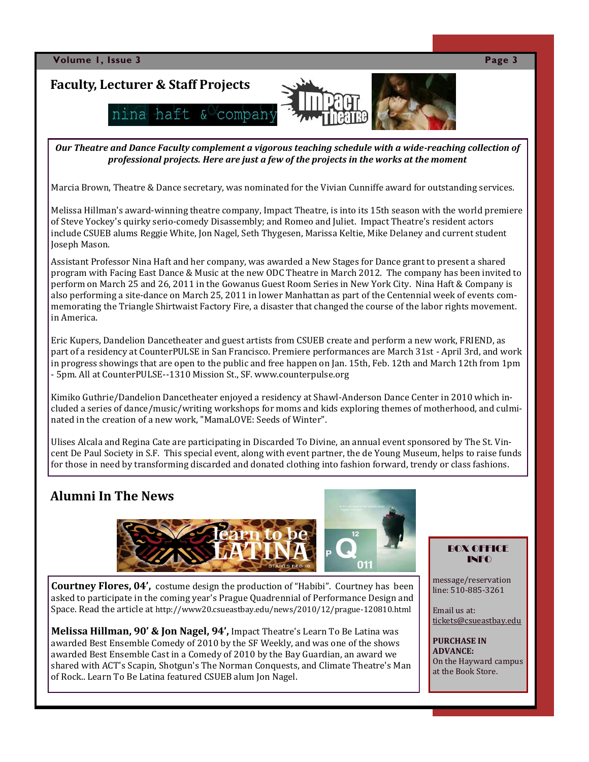

*Our Theatre and Dance Faculty complement a vigorous teaching schedule with a wide-reaching collection of professional projects. Here are just a few of the projects in the works at the moment*

Marcia Brown, Theatre & Dance secretary, was nominated for the Vivian Cunniffe award for outstanding services.

Melissa Hillman's award-winning theatre company, Impact Theatre, is into its 15th season with the world premiere of Steve Yockey's quirky serio-comedy Disassembly; and Romeo and Juliet. Impact Theatre's resident actors include CSUEB alums Reggie White, Jon Nagel, Seth Thygesen, Marissa Keltie, Mike Delaney and current student Joseph Mason.

Assistant Professor Nina Haft and her company, was awarded a New Stages for Dance grant to present a shared program with Facing East Dance & Music at the new ODC Theatre in March 2012. The company has been invited to perform on March 25 and 26, 2011 in the Gowanus Guest Room Series in New York City. Nina Haft & Company is also performing a site-dance on March 25, 2011 in lower Manhattan as part of the Centennial week of events commemorating the Triangle Shirtwaist Factory Fire, a disaster that changed the course of the labor rights movement. in America.

Eric Kupers, Dandelion Dancetheater and guest artists from CSUEB create and perform a new work, FRIEND, as part of a residency at CounterPULSE in San Francisco. Premiere performances are March 31st - April 3rd, and work in progress showings that are open to the public and free happen on Jan. 15th, Feb. 12th and March 12th from 1pm - 5pm. All at CounterPULSE--1310 Mission St., SF. www.counterpulse.org

Kimiko Guthrie/Dandelion Dancetheater enjoyed a residency at Shawl-Anderson Dance Center in 2010 which included a series of dance/music/writing workshops for moms and kids exploring themes of motherhood, and culminated in the creation of a new work, "MamaLOVE: Seeds of Winter".

Ulises Alcala and Regina Cate are participating in Discarded To Divine, an annual event sponsored by The St. Vincent De Paul Society in S.F. This special event, along with event partner, the de Young Museum, helps to raise funds for those in need by transforming discarded and donated clothing into fashion forward, trendy or class fashions.

# **Alumni In The News**



**Courtney Flores, 04',** costume design the production of "Habibi". Courtney has been asked to participate in the coming year's Prague Quadrennial of Performance Design and Space. Read the article at http://www20.csueastbay.edu/news/2010/12/prague-120810.html

**Melissa Hillman, 90' & Jon Nagel, 94',** Impact Theatre's Learn To Be Latina was awarded Best Ensemble Comedy of 2010 by the SF Weekly, and was one of the shows awarded Best Ensemble Cast in a Comedy of 2010 by the Bay Guardian, an award we shared with ACT's Scapin, Shotgun's The Norman Conquests, and Climate Theatre's Man of Rock.. Learn To Be Latina featured CSUEB alum Jon Nagel.

#### BOX OFFICE INFO

message/reservation line: 510-885-3261

Email us at: [tickets@csueastbay.edu](mailto:tickets@csueastbay.edu)

**PURCHASE IN ADVANCE:** On the Hayward campus at the Book Store.